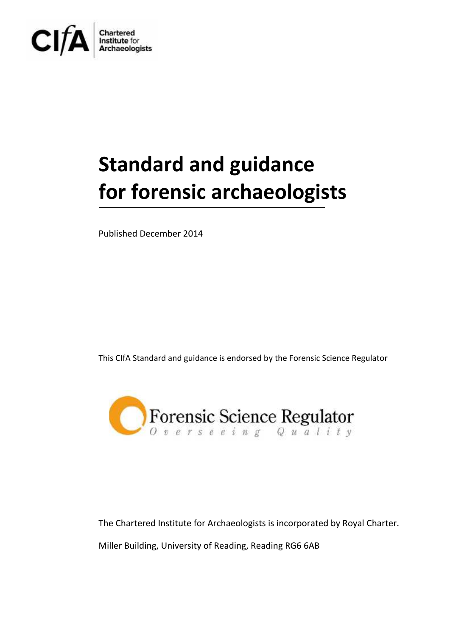

# **Standard and guidance for forensic archaeologists**

Published December 2014

This CIfA Standard and guidance is endorsed by the Forensic Science Regulator



The Chartered Institute for Archaeologists is incorporated by Royal Charter. Miller Building, University of Reading, Reading RG6 6AB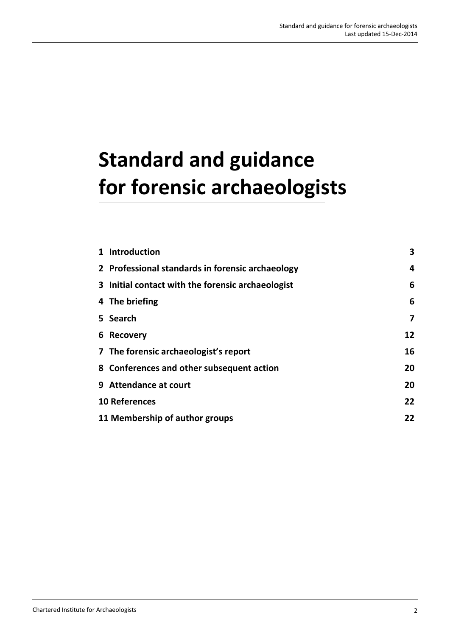## **Standard and guidance for forensic archaeologists**

| 1 Introduction                                    | 3  |
|---------------------------------------------------|----|
| 2 Professional standards in forensic archaeology  | 4  |
| 3 Initial contact with the forensic archaeologist | 6  |
| 4 The briefing                                    | 6  |
| 5 Search                                          | 7  |
| 6 Recovery                                        | 12 |
| 7 The forensic archaeologist's report             | 16 |
| 8 Conferences and other subsequent action         | 20 |
| 9 Attendance at court                             | 20 |
| <b>10 References</b>                              | 22 |
| 11 Membership of author groups                    | 22 |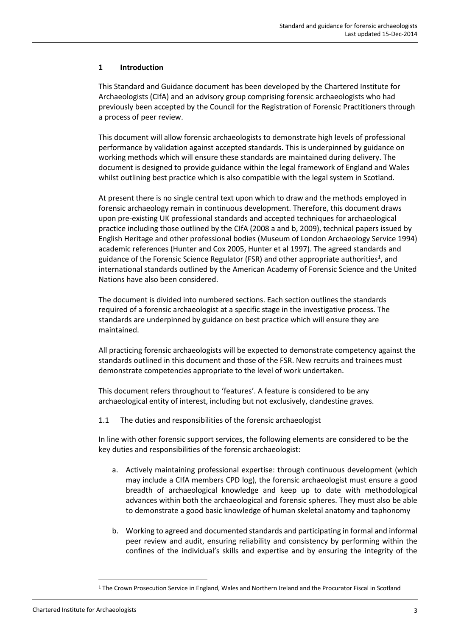### **1 Introduction**

This Standard and Guidance document has been developed by the Chartered Institute for Archaeologists (CIfA) and an advisory group comprising forensic archaeologists who had previously been accepted by the Council for the Registration of Forensic Practitioners through a process of peer review.

This document will allow forensic archaeologists to demonstrate high levels of professional performance by validation against accepted standards. This is underpinned by guidance on working methods which will ensure these standards are maintained during delivery. The document is designed to provide guidance within the legal framework of England and Wales whilst outlining best practice which is also compatible with the legal system in Scotland.

At present there is no single central text upon which to draw and the methods employed in forensic archaeology remain in continuous development. Therefore, this document draws upon pre-existing UK professional standards and accepted techniques for archaeological practice including those outlined by the CIfA (2008 a and b, 2009), technical papers issued by English Heritage and other professional bodies (Museum of London Archaeology Service 1994) academic references (Hunter and Cox 2005, Hunter et al 1997). The agreed standards and guidance of the Forensic Science Regulator (FSR) and other appropriate authorities<sup>1</sup>, and international standards outlined by the American Academy of Forensic Science and the United Nations have also been considered.

The document is divided into numbered sections. Each section outlines the standards required of a forensic archaeologist at a specific stage in the investigative process. The standards are underpinned by guidance on best practice which will ensure they are maintained.

All practicing forensic archaeologists will be expected to demonstrate competency against the standards outlined in this document and those of the FSR. New recruits and trainees must demonstrate competencies appropriate to the level of work undertaken.

This document refers throughout to 'features'. A feature is considered to be any archaeological entity of interest, including but not exclusively, clandestine graves.

1.1 The duties and responsibilities of the forensic archaeologist

In line with other forensic support services, the following elements are considered to be the key duties and responsibilities of the forensic archaeologist:

- a. Actively maintaining professional expertise: through continuous development (which may include a CIfA members CPD log), the forensic archaeologist must ensure a good breadth of archaeological knowledge and keep up to date with methodological advances within both the archaeological and forensic spheres. They must also be able to demonstrate a good basic knowledge of human skeletal anatomy and taphonomy
- b. Working to agreed and documented standards and participating in formal and informal peer review and audit, ensuring reliability and consistency by performing within the confines of the individual's skills and expertise and by ensuring the integrity of the

<sup>1</sup> The Crown Prosecution Service in England, Wales and Northern Ireland and the Procurator Fiscal in Scotland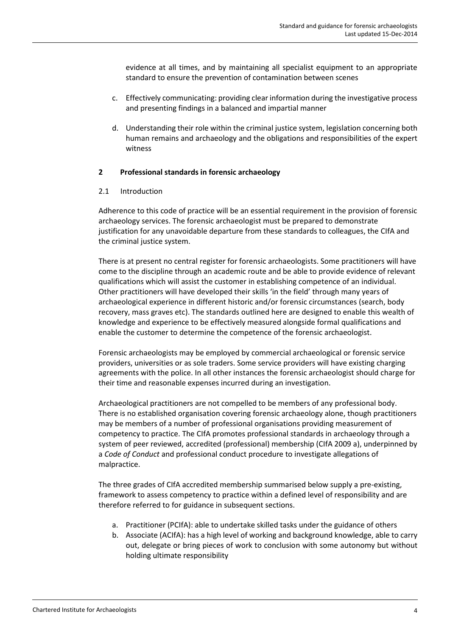evidence at all times, and by maintaining all specialist equipment to an appropriate standard to ensure the prevention of contamination between scenes

- c. Effectively communicating: providing clear information during the investigative process and presenting findings in a balanced and impartial manner
- d. Understanding their role within the criminal justice system, legislation concerning both human remains and archaeology and the obligations and responsibilities of the expert witness

### **2 Professional standards in forensic archaeology**

### 2.1 Introduction

Adherence to this code of practice will be an essential requirement in the provision of forensic archaeology services. The forensic archaeologist must be prepared to demonstrate justification for any unavoidable departure from these standards to colleagues, the CIfA and the criminal justice system.

There is at present no central register for forensic archaeologists. Some practitioners will have come to the discipline through an academic route and be able to provide evidence of relevant qualifications which will assist the customer in establishing competence of an individual. Other practitioners will have developed their skills 'in the field' through many years of archaeological experience in different historic and/or forensic circumstances (search, body recovery, mass graves etc). The standards outlined here are designed to enable this wealth of knowledge and experience to be effectively measured alongside formal qualifications and enable the customer to determine the competence of the forensic archaeologist.

Forensic archaeologists may be employed by commercial archaeological or forensic service providers, universities or as sole traders. Some service providers will have existing charging agreements with the police. In all other instances the forensic archaeologist should charge for their time and reasonable expenses incurred during an investigation.

Archaeological practitioners are not compelled to be members of any professional body. There is no established organisation covering forensic archaeology alone, though practitioners may be members of a number of professional organisations providing measurement of competency to practice. The CIfA promotes professional standards in archaeology through a system of peer reviewed, accredited (professional) membership (CIfA 2009 a), underpinned by a *Code of Conduct* and professional conduct procedure to investigate allegations of malpractice.

The three grades of CIfA accredited membership summarised below supply a pre-existing, framework to assess competency to practice within a defined level of responsibility and are therefore referred to for guidance in subsequent sections.

- a. Practitioner (PCIfA): able to undertake skilled tasks under the guidance of others
- b. Associate (ACIfA): has a high level of working and background knowledge, able to carry out, delegate or bring pieces of work to conclusion with some autonomy but without holding ultimate responsibility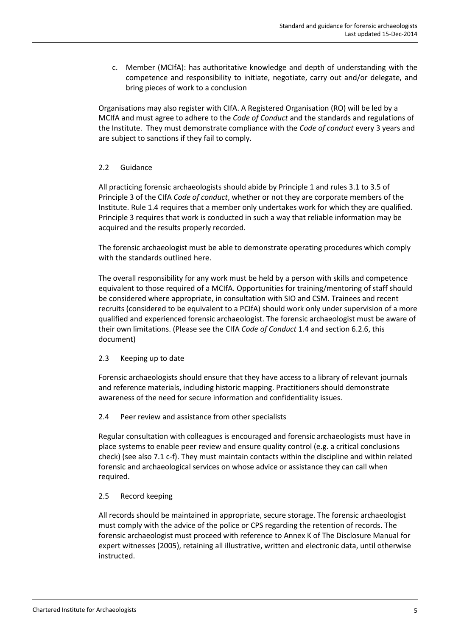c. Member (MCIfA): has authoritative knowledge and depth of understanding with the competence and responsibility to initiate, negotiate, carry out and/or delegate, and bring pieces of work to a conclusion

Organisations may also register with CIfA. A Registered Organisation (RO) will be led by a MCIfA and must agree to adhere to the *Code of Conduct* and the standards and regulations of the Institute. They must demonstrate compliance with the *Code of conduct* every 3 years and are subject to sanctions if they fail to comply.

### 2.2 Guidance

All practicing forensic archaeologists should abide by Principle 1 and rules 3.1 to 3.5 of Principle 3 of the CIfA *Code of conduct*, whether or not they are corporate members of the Institute. Rule 1.4 requires that a member only undertakes work for which they are qualified. Principle 3 requires that work is conducted in such a way that reliable information may be acquired and the results properly recorded.

The forensic archaeologist must be able to demonstrate operating procedures which comply with the standards outlined here.

The overall responsibility for any work must be held by a person with skills and competence equivalent to those required of a MCIfA. Opportunities for training/mentoring of staff should be considered where appropriate, in consultation with SIO and CSM. Trainees and recent recruits (considered to be equivalent to a PCIfA) should work only under supervision of a more qualified and experienced forensic archaeologist. The forensic archaeologist must be aware of their own limitations. (Please see the CIfA *Code of Conduct* 1.4 and section 6.2.6, this document)

### 2.3 Keeping up to date

Forensic archaeologists should ensure that they have access to a library of relevant journals and reference materials, including historic mapping. Practitioners should demonstrate awareness of the need for secure information and confidentiality issues.

### 2.4 Peer review and assistance from other specialists

Regular consultation with colleagues is encouraged and forensic archaeologists must have in place systems to enable peer review and ensure quality control (e.g. a critical conclusions check) (see also 7.1 c-f). They must maintain contacts within the discipline and within related forensic and archaeological services on whose advice or assistance they can call when required.

### 2.5 Record keeping

All records should be maintained in appropriate, secure storage. The forensic archaeologist must comply with the advice of the police or CPS regarding the retention of records. The forensic archaeologist must proceed with reference to Annex K of The Disclosure Manual for expert witnesses (2005), retaining all illustrative, written and electronic data, until otherwise instructed.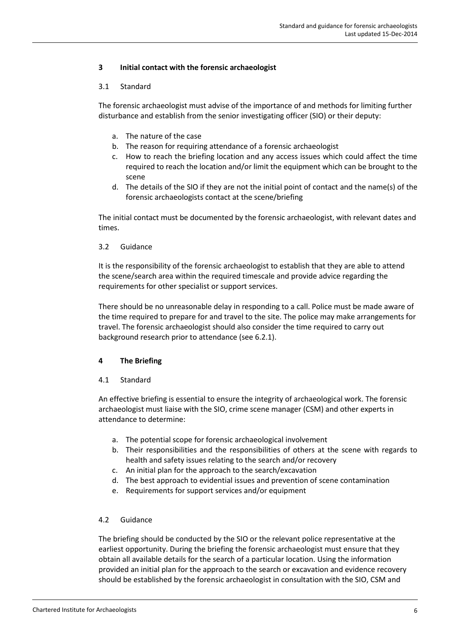### **3 Initial contact with the forensic archaeologist**

### 3.1 Standard

The forensic archaeologist must advise of the importance of and methods for limiting further disturbance and establish from the senior investigating officer (SIO) or their deputy:

- a. The nature of the case
- b. The reason for requiring attendance of a forensic archaeologist
- c. How to reach the briefing location and any access issues which could affect the time required to reach the location and/or limit the equipment which can be brought to the scene
- d. The details of the SIO if they are not the initial point of contact and the name(s) of the forensic archaeologists contact at the scene/briefing

The initial contact must be documented by the forensic archaeologist, with relevant dates and times.

### 3.2 Guidance

It is the responsibility of the forensic archaeologist to establish that they are able to attend the scene/search area within the required timescale and provide advice regarding the requirements for other specialist or support services.

There should be no unreasonable delay in responding to a call. Police must be made aware of the time required to prepare for and travel to the site. The police may make arrangements for travel. The forensic archaeologist should also consider the time required to carry out background research prior to attendance (see 6.2.1).

### **4 The Briefing**

### 4.1 Standard

An effective briefing is essential to ensure the integrity of archaeological work. The forensic archaeologist must liaise with the SIO, crime scene manager (CSM) and other experts in attendance to determine:

- a. The potential scope for forensic archaeological involvement
- b. Their responsibilities and the responsibilities of others at the scene with regards to health and safety issues relating to the search and/or recovery
- c. An initial plan for the approach to the search/excavation
- d. The best approach to evidential issues and prevention of scene contamination
- e. Requirements for support services and/or equipment

### 4.2 Guidance

The briefing should be conducted by the SIO or the relevant police representative at the earliest opportunity. During the briefing the forensic archaeologist must ensure that they obtain all available details for the search of a particular location. Using the information provided an initial plan for the approach to the search or excavation and evidence recovery should be established by the forensic archaeologist in consultation with the SIO, CSM and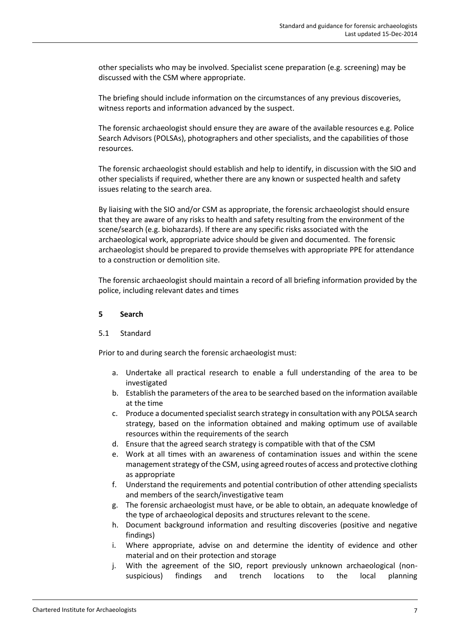other specialists who may be involved. Specialist scene preparation (e.g. screening) may be discussed with the CSM where appropriate.

The briefing should include information on the circumstances of any previous discoveries, witness reports and information advanced by the suspect.

The forensic archaeologist should ensure they are aware of the available resources e.g. Police Search Advisors (POLSAs), photographers and other specialists, and the capabilities of those resources.

The forensic archaeologist should establish and help to identify, in discussion with the SIO and other specialists if required, whether there are any known or suspected health and safety issues relating to the search area.

By liaising with the SIO and/or CSM as appropriate, the forensic archaeologist should ensure that they are aware of any risks to health and safety resulting from the environment of the scene/search (e.g. biohazards). If there are any specific risks associated with the archaeological work, appropriate advice should be given and documented. The forensic archaeologist should be prepared to provide themselves with appropriate PPE for attendance to a construction or demolition site.

The forensic archaeologist should maintain a record of all briefing information provided by the police, including relevant dates and times

### **5 Search**

### 5.1 Standard

Prior to and during search the forensic archaeologist must:

- a. Undertake all practical research to enable a full understanding of the area to be investigated
- b. Establish the parameters of the area to be searched based on the information available at the time
- c. Produce a documented specialist search strategy in consultation with any POLSA search strategy, based on the information obtained and making optimum use of available resources within the requirements of the search
- d. Ensure that the agreed search strategy is compatible with that of the CSM
- e. Work at all times with an awareness of contamination issues and within the scene management strategy of the CSM, using agreed routes of access and protective clothing as appropriate
- f. Understand the requirements and potential contribution of other attending specialists and members of the search/investigative team
- g. The forensic archaeologist must have, or be able to obtain, an adequate knowledge of the type of archaeological deposits and structures relevant to the scene.
- h. Document background information and resulting discoveries (positive and negative findings)
- i. Where appropriate, advise on and determine the identity of evidence and other material and on their protection and storage
- j. With the agreement of the SIO, report previously unknown archaeological (non suspicious) findings and trench locations to the local planning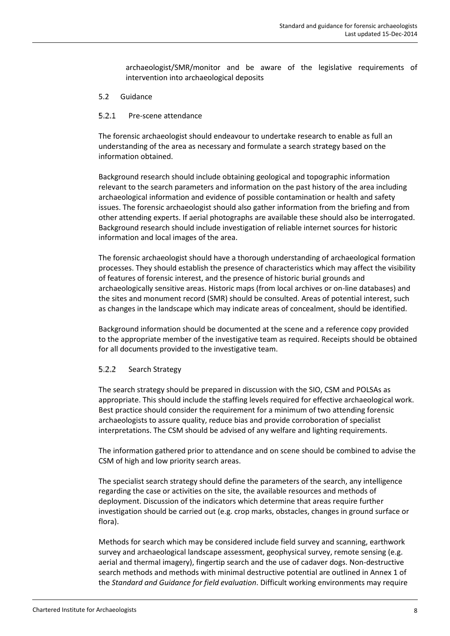archaeologist/SMR/monitor and be aware of the legislative requirements of intervention into archaeological deposits

5.2 Guidance

#### 5.2.1 Pre-scene attendance

The forensic archaeologist should endeavour to undertake research to enable as full an understanding of the area as necessary and formulate a search strategy based on the information obtained.

Background research should include obtaining geological and topographic information relevant to the search parameters and information on the past history of the area including archaeological information and evidence of possible contamination or health and safety issues. The forensic archaeologist should also gather information from the briefing and from other attending experts. If aerial photographs are available these should also be interrogated. Background research should include investigation of reliable internet sources for historic information and local images of the area.

The forensic archaeologist should have a thorough understanding of archaeological formation processes. They should establish the presence of characteristics which may affect the visibility of features of forensic interest, and the presence of historic burial grounds and archaeologically sensitive areas. Historic maps (from local archives or on-line databases) and the sites and monument record (SMR) should be consulted. Areas of potential interest, such as changes in the landscape which may indicate areas of concealment, should be identified.

Background information should be documented at the scene and a reference copy provided to the appropriate member of the investigative team as required. Receipts should be obtained for all documents provided to the investigative team.

#### 5.2.2 Search Strategy

The search strategy should be prepared in discussion with the SIO, CSM and POLSAs as appropriate. This should include the staffing levels required for effective archaeological work. Best practice should consider the requirement for a minimum of two attending forensic archaeologists to assure quality, reduce bias and provide corroboration of specialist interpretations. The CSM should be advised of any welfare and lighting requirements.

The information gathered prior to attendance and on scene should be combined to advise the CSM of high and low priority search areas.

The specialist search strategy should define the parameters of the search, any intelligence regarding the case or activities on the site, the available resources and methods of deployment. Discussion of the indicators which determine that areas require further investigation should be carried out (e.g. crop marks, obstacles, changes in ground surface or flora).

Methods for search which may be considered include field survey and scanning, earthwork survey and archaeological landscape assessment, geophysical survey, remote sensing (e.g. aerial and thermal imagery), fingertip search and the use of cadaver dogs. Non-destructive search methods and methods with minimal destructive potential are outlined in Annex 1 of the *Standard and Guidance for field evaluation*. Difficult working environments may require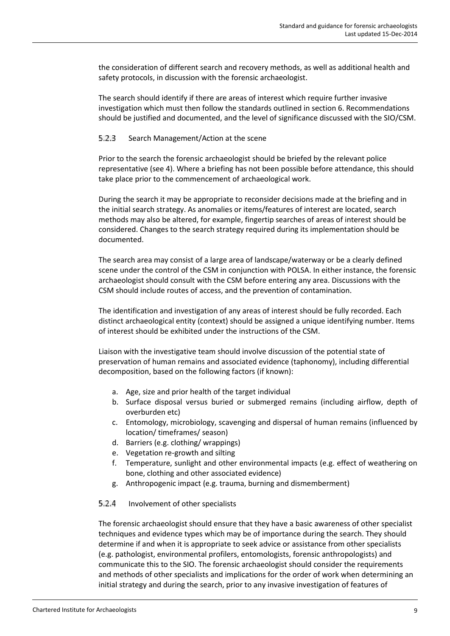the consideration of different search and recovery methods, as well as additional health and safety protocols, in discussion with the forensic archaeologist.

The search should identify if there are areas of interest which require further invasive investigation which must then follow the standards outlined in section 6. Recommendations should be justified and documented, and the level of significance discussed with the SIO/CSM.

#### 5.2.3 Search Management/Action at the scene

Prior to the search the forensic archaeologist should be briefed by the relevant police representative (see 4). Where a briefing has not been possible before attendance, this should take place prior to the commencement of archaeological work.

During the search it may be appropriate to reconsider decisions made at the briefing and in the initial search strategy. As anomalies or items/features of interest are located, search methods may also be altered, for example, fingertip searches of areas of interest should be considered. Changes to the search strategy required during its implementation should be documented.

The search area may consist of a large area of landscape/waterway or be a clearly defined scene under the control of the CSM in conjunction with POLSA. In either instance, the forensic archaeologist should consult with the CSM before entering any area. Discussions with the CSM should include routes of access, and the prevention of contamination.

The identification and investigation of any areas of interest should be fully recorded. Each distinct archaeological entity (context) should be assigned a unique identifying number. Items of interest should be exhibited under the instructions of the CSM.

Liaison with the investigative team should involve discussion of the potential state of preservation of human remains and associated evidence (taphonomy), including differential decomposition, based on the following factors (if known):

- a. Age, size and prior health of the target individual
- b. Surface disposal versus buried or submerged remains (including airflow, depth of overburden etc)
- c. Entomology, microbiology, scavenging and dispersal of human remains (influenced by location/ timeframes/ season)
- d. Barriers (e.g. clothing/ wrappings)
- e. Vegetation re-growth and silting
- f. Temperature, sunlight and other environmental impacts (e.g. effect of weathering on bone, clothing and other associated evidence)
- g. Anthropogenic impact (e.g. trauma, burning and dismemberment)

#### $5.2.4$ Involvement of other specialists

The forensic archaeologist should ensure that they have a basic awareness of other specialist techniques and evidence types which may be of importance during the search. They should determine if and when it is appropriate to seek advice or assistance from other specialists (e.g. pathologist, environmental profilers, entomologists, forensic anthropologists) and communicate this to the SIO. The forensic archaeologist should consider the requirements and methods of other specialists and implications for the order of work when determining an initial strategy and during the search, prior to any invasive investigation of features of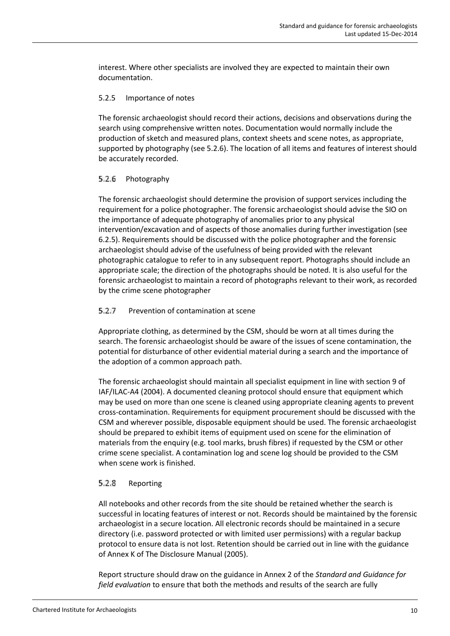interest. Where other specialists are involved they are expected to maintain their own documentation.

### 5.2.5 Importance of notes

The forensic archaeologist should record their actions, decisions and observations during the search using comprehensive written notes. Documentation would normally include the production of sketch and measured plans, context sheets and scene notes, as appropriate, supported by photography (see 5.2.6). The location of all items and features of interest should be accurately recorded.

#### 5.2.6 Photography

The forensic archaeologist should determine the provision of support services including the requirement for a police photographer. The forensic archaeologist should advise the SIO on the importance of adequate photography of anomalies prior to any physical intervention/excavation and of aspects of those anomalies during further investigation (see 6.2.5). Requirements should be discussed with the police photographer and the forensic archaeologist should advise of the usefulness of being provided with the relevant photographic catalogue to refer to in any subsequent report. Photographs should include an appropriate scale; the direction of the photographs should be noted. It is also useful for the forensic archaeologist to maintain a record of photographs relevant to their work, as recorded by the crime scene photographer

#### $5.2.7$ Prevention of contamination at scene

Appropriate clothing, as determined by the CSM, should be worn at all times during the search. The forensic archaeologist should be aware of the issues of scene contamination, the potential for disturbance of other evidential material during a search and the importance of the adoption of a common approach path.

The forensic archaeologist should maintain all specialist equipment in line with section 9 of IAF/ILAC-A4 (2004). A documented cleaning protocol should ensure that equipment which may be used on more than one scene is cleaned using appropriate cleaning agents to prevent cross-contamination. Requirements for equipment procurement should be discussed with the CSM and wherever possible, disposable equipment should be used. The forensic archaeologist should be prepared to exhibit items of equipment used on scene for the elimination of materials from the enquiry (e.g. tool marks, brush fibres) if requested by the CSM or other crime scene specialist. A contamination log and scene log should be provided to the CSM when scene work is finished.

#### $5.2.8$ Reporting

All notebooks and other records from the site should be retained whether the search is successful in locating features of interest or not. Records should be maintained by the forensic archaeologist in a secure location. All electronic records should be maintained in a secure directory (i.e. password protected or with limited user permissions) with a regular backup protocol to ensure data is not lost. Retention should be carried out in line with the guidance of Annex K of The Disclosure Manual (2005).

Report structure should draw on the guidance in Annex 2 of the *Standard and Guidance for field evaluation* to ensure that both the methods and results of the search are fully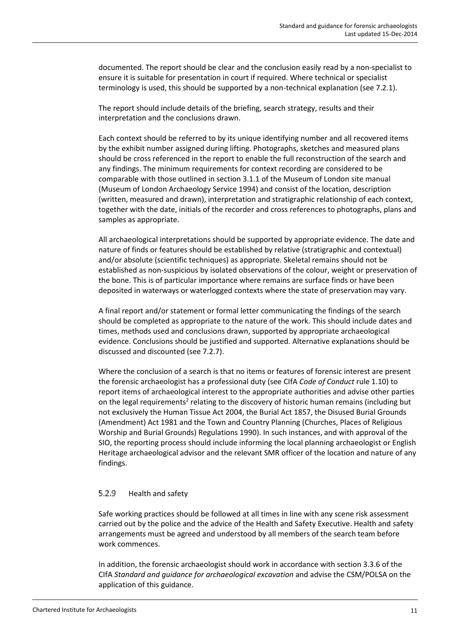documented. The report should be clear and the conclusion easily read by a non-specialist to ensure it is suitable for presentation in court if required. Where technical or specialist terminology is used, this should be supported by a non-technical explanation (see 7.2.1).

The report should include details of the briefing, search strategy, results and their interpretation and the conclusions drawn.

Each context should be referred to by its unique identifying number and all recovered items by the exhibit number assigned during lifting. Photographs, sketches and measured plans should be cross referenced in the report to enable the full reconstruction of the search and any findings. The minimum requirements for context recording are considered to be comparable with those outlined in section 3.1.1 of the Museum of London site manual (Museum of London Archaeology Service 1994) and consist of the location, description (written, measured and drawn), interpretation and stratigraphic relationship of each context, together with the date, initials of the recorder and cross references to photographs, plans and samples as appropriate.

All archaeological interpretations should be supported by appropriate evidence. The date and nature of finds or features should be established by relative (stratigraphic and contextual) and/or absolute (scientific techniques) as appropriate. Skeletal remains should not be established as non-suspicious by isolated observations of the colour, weight or preservation of the bone. This is of particular importance where remains are surface finds or have been deposited in waterways or waterlogged contexts where the state of preservation may vary.

A final report and/or statement or formal letter communicating the findings of the search should be completed as appropriate to the nature of the work. This should include dates and times, methods used and conclusions drawn, supported by appropriate archaeological evidence. Conclusions should be justified and supported. Alternative explanations should be discussed and discounted (see 7.2.7).

Where the conclusion of a search is that no items or features of forensic interest are present the forensic archaeologist has a professional duty (see CIfA *Code of Conduct* rule 1.10) to report items of archaeological interest to the appropriate authorities and advise other parties on the legal requirements<sup>2</sup> relating to the discovery of historic human remains (including but not exclusively the Human Tissue Act 2004, the Burial Act 1857, the Disused Burial Grounds (Amendment) Act 1981 and the Town and Country Planning (Churches, Places of Religious Worship and Burial Grounds) Regulations 1990). In such instances, and with approval of the SIO, the reporting process should include informing the local planning archaeologist or English Heritage archaeological advisor and the relevant SMR officer of the location and nature of any findings.

#### 5.2.9 Health and safety

Safe working practices should be followed at all times in line with any scene risk assessment carried out by the police and the advice of the Health and Safety Executive. Health and safety arrangements must be agreed and understood by all members of the search team before work commences.

In addition, the forensic archaeologist should work in accordance with section 3.3.6 of the CIfA *Standard and guidance for archaeological excavation* and advise the CSM/POLSA on the application of this guidance.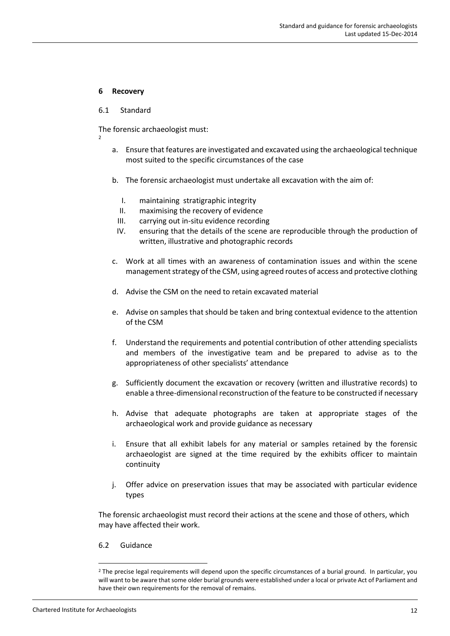### **6 Recovery**

### 6.1 Standard

The forensic archaeologist must:

- 2
	- a. Ensure that features are investigated and excavated using the archaeological technique most suited to the specific circumstances of the case
	- b. The forensic archaeologist must undertake all excavation with the aim of:
		- I. maintaining stratigraphic integrity
		- II. maximising the recovery of evidence
		- III. carrying out in-situ evidence recording
		- IV. ensuring that the details of the scene are reproducible through the production of written, illustrative and photographic records
	- c. Work at all times with an awareness of contamination issues and within the scene management strategy of the CSM, using agreed routes of access and protective clothing
	- d. Advise the CSM on the need to retain excavated material
	- e. Advise on samples that should be taken and bring contextual evidence to the attention of the CSM
	- f. Understand the requirements and potential contribution of other attending specialists and members of the investigative team and be prepared to advise as to the appropriateness of other specialists' attendance
	- g. Sufficiently document the excavation or recovery (written and illustrative records) to enable a three-dimensional reconstruction of the feature to be constructed if necessary
	- h. Advise that adequate photographs are taken at appropriate stages of the archaeological work and provide guidance as necessary
	- i. Ensure that all exhibit labels for any material or samples retained by the forensic archaeologist are signed at the time required by the exhibits officer to maintain continuity
	- j. Offer advice on preservation issues that may be associated with particular evidence types

The forensic archaeologist must record their actions at the scene and those of others, which may have affected their work.

6.2 Guidance

<sup>&</sup>lt;sup>2</sup> The precise legal requirements will depend upon the specific circumstances of a burial ground. In particular, you will want to be aware that some older burial grounds were established under a local or private Act of Parliament and have their own requirements for the removal of remains.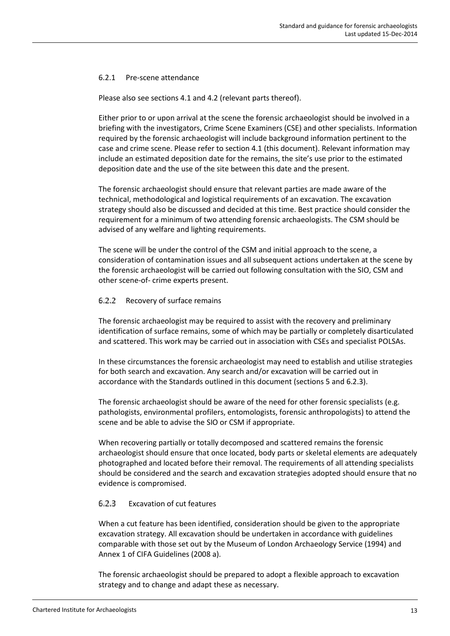### 6.2.1 Pre-scene attendance

Please also see sections 4.1 and 4.2 (relevant parts thereof).

Either prior to or upon arrival at the scene the forensic archaeologist should be involved in a briefing with the investigators, Crime Scene Examiners (CSE) and other specialists. Information required by the forensic archaeologist will include background information pertinent to the case and crime scene. Please refer to section 4.1 (this document). Relevant information may include an estimated deposition date for the remains, the site's use prior to the estimated deposition date and the use of the site between this date and the present.

The forensic archaeologist should ensure that relevant parties are made aware of the technical, methodological and logistical requirements of an excavation. The excavation strategy should also be discussed and decided at this time. Best practice should consider the requirement for a minimum of two attending forensic archaeologists. The CSM should be advised of any welfare and lighting requirements.

The scene will be under the control of the CSM and initial approach to the scene, a consideration of contamination issues and all subsequent actions undertaken at the scene by the forensic archaeologist will be carried out following consultation with the SIO, CSM and other scene-of- crime experts present.

#### 6.2.2 Recovery of surface remains

The forensic archaeologist may be required to assist with the recovery and preliminary identification of surface remains, some of which may be partially or completely disarticulated and scattered. This work may be carried out in association with CSEs and specialist POLSAs.

In these circumstances the forensic archaeologist may need to establish and utilise strategies for both search and excavation. Any search and/or excavation will be carried out in accordance with the Standards outlined in this document (sections 5 and 6.2.3).

The forensic archaeologist should be aware of the need for other forensic specialists (e.g. pathologists, environmental profilers, entomologists, forensic anthropologists) to attend the scene and be able to advise the SIO or CSM if appropriate.

When recovering partially or totally decomposed and scattered remains the forensic archaeologist should ensure that once located, body parts or skeletal elements are adequately photographed and located before their removal. The requirements of all attending specialists should be considered and the search and excavation strategies adopted should ensure that no evidence is compromised.

#### 6.2.3 Excavation of cut features

When a cut feature has been identified, consideration should be given to the appropriate excavation strategy. All excavation should be undertaken in accordance with guidelines comparable with those set out by the Museum of London Archaeology Service (1994) and Annex 1 of CIFA Guidelines (2008 a).

The forensic archaeologist should be prepared to adopt a flexible approach to excavation strategy and to change and adapt these as necessary.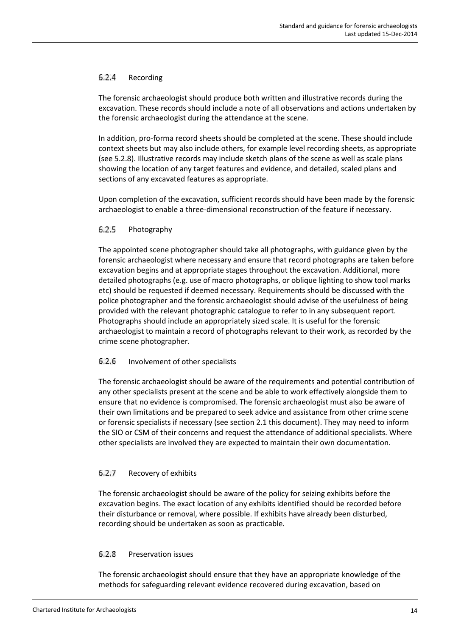#### $6.2.4$ Recording

The forensic archaeologist should produce both written and illustrative records during the excavation. These records should include a note of all observations and actions undertaken by the forensic archaeologist during the attendance at the scene.

In addition, pro-forma record sheets should be completed at the scene. These should include context sheets but may also include others, for example level recording sheets, as appropriate (see 5.2.8). Illustrative records may include sketch plans of the scene as well as scale plans showing the location of any target features and evidence, and detailed, scaled plans and sections of any excavated features as appropriate.

Upon completion of the excavation, sufficient records should have been made by the forensic archaeologist to enable a three-dimensional reconstruction of the feature if necessary.

#### 6.2.5 Photography

The appointed scene photographer should take all photographs, with guidance given by the forensic archaeologist where necessary and ensure that record photographs are taken before excavation begins and at appropriate stages throughout the excavation. Additional, more detailed photographs (e.g. use of macro photographs, or oblique lighting to show tool marks etc) should be requested if deemed necessary. Requirements should be discussed with the police photographer and the forensic archaeologist should advise of the usefulness of being provided with the relevant photographic catalogue to refer to in any subsequent report. Photographs should include an appropriately sized scale. It is useful for the forensic archaeologist to maintain a record of photographs relevant to their work, as recorded by the crime scene photographer.

#### 6.2.6 Involvement of other specialists

The forensic archaeologist should be aware of the requirements and potential contribution of any other specialists present at the scene and be able to work effectively alongside them to ensure that no evidence is compromised. The forensic archaeologist must also be aware of their own limitations and be prepared to seek advice and assistance from other crime scene or forensic specialists if necessary (see section 2.1 this document). They may need to inform the SIO or CSM of their concerns and request the attendance of additional specialists. Where other specialists are involved they are expected to maintain their own documentation.

#### $6.2.7$ Recovery of exhibits

The forensic archaeologist should be aware of the policy for seizing exhibits before the excavation begins. The exact location of any exhibits identified should be recorded before their disturbance or removal, where possible. If exhibits have already been disturbed, recording should be undertaken as soon as practicable.

#### $6.2.8$ Preservation issues

The forensic archaeologist should ensure that they have an appropriate knowledge of the methods for safeguarding relevant evidence recovered during excavation, based on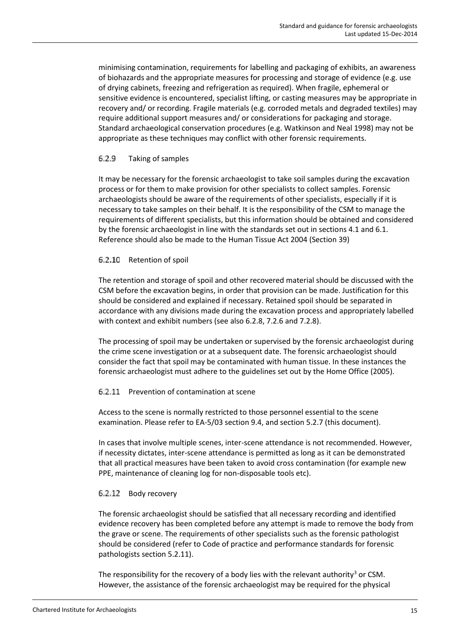minimising contamination, requirements for labelling and packaging of exhibits, an awareness of biohazards and the appropriate measures for processing and storage of evidence (e.g. use of drying cabinets, freezing and refrigeration as required). When fragile, ephemeral or sensitive evidence is encountered, specialist lifting, or casting measures may be appropriate in recovery and/ or recording. Fragile materials (e.g. corroded metals and degraded textiles) may require additional support measures and/ or considerations for packaging and storage. Standard archaeological conservation procedures (e.g. Watkinson and Neal 1998) may not be appropriate as these techniques may conflict with other forensic requirements.

#### 6.2.9 Taking of samples

It may be necessary for the forensic archaeologist to take soil samples during the excavation process or for them to make provision for other specialists to collect samples. Forensic archaeologists should be aware of the requirements of other specialists, especially if it is necessary to take samples on their behalf. It is the responsibility of the CSM to manage the requirements of different specialists, but this information should be obtained and considered by the forensic archaeologist in line with the standards set out in sections 4.1 and 6.1. Reference should also be made to the Human Tissue Act 2004 (Section 39)

### 6.2.10 Retention of spoil

The retention and storage of spoil and other recovered material should be discussed with the CSM before the excavation begins, in order that provision can be made. Justification for this should be considered and explained if necessary. Retained spoil should be separated in accordance with any divisions made during the excavation process and appropriately labelled with context and exhibit numbers (see also 6.2.8, 7.2.6 and 7.2.8).

The processing of spoil may be undertaken or supervised by the forensic archaeologist during the crime scene investigation or at a subsequent date. The forensic archaeologist should consider the fact that spoil may be contaminated with human tissue. In these instances the forensic archaeologist must adhere to the guidelines set out by the Home Office (2005).

### 6.2.11 Prevention of contamination at scene

Access to the scene is normally restricted to those personnel essential to the scene examination. Please refer to EA-5/03 section 9.4, and section 5.2.7 (this document).

In cases that involve multiple scenes, inter-scene attendance is not recommended. However, if necessity dictates, inter-scene attendance is permitted as long as it can be demonstrated that all practical measures have been taken to avoid cross contamination (for example new PPE, maintenance of cleaning log for non-disposable tools etc).

#### 6.2.12 Body recovery

The forensic archaeologist should be satisfied that all necessary recording and identified evidence recovery has been completed before any attempt is made to remove the body from the grave or scene. The requirements of other specialists such as the forensic pathologist should be considered (refer to Code of practice and performance standards for forensic pathologists section 5.2.11).

The responsibility for the recovery of a body lies with the relevant authority<sup>3</sup> or CSM. However, the assistance of the forensic archaeologist may be required for the physical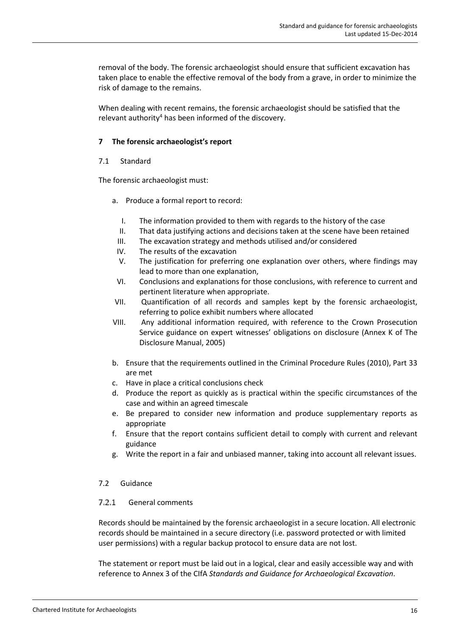removal of the body. The forensic archaeologist should ensure that sufficient excavation has taken place to enable the effective removal of the body from a grave, in order to minimize the risk of damage to the remains.

When dealing with recent remains, the forensic archaeologist should be satisfied that the relevant authority<sup>4</sup> has been informed of the discovery.

### **7 The forensic archaeologist's report**

### 7.1 Standard

The forensic archaeologist must:

- a. Produce a formal report to record:
	- I. The information provided to them with regards to the history of the case
	- II. That data justifying actions and decisions taken at the scene have been retained
	- III. The excavation strategy and methods utilised and/or considered
	- IV. The results of the excavation
	- V. The justification for preferring one explanation over others, where findings may lead to more than one explanation,
	- VI. Conclusions and explanations for those conclusions, with reference to current and pertinent literature when appropriate.
- VII. Quantification of all records and samples kept by the forensic archaeologist, referring to police exhibit numbers where allocated
- VIII. Any additional information required, with reference to the Crown Prosecution Service guidance on expert witnesses' obligations on disclosure (Annex K of The Disclosure Manual, 2005)
- b. Ensure that the requirements outlined in the Criminal Procedure Rules (2010), Part 33 are met
- c. Have in place a critical conclusions check
- d. Produce the report as quickly as is practical within the specific circumstances of the case and within an agreed timescale
- e. Be prepared to consider new information and produce supplementary reports as appropriate
- f. Ensure that the report contains sufficient detail to comply with current and relevant guidance
- g. Write the report in a fair and unbiased manner, taking into account all relevant issues.

### 7.2 Guidance

#### $7.2.1$ General comments

Records should be maintained by the forensic archaeologist in a secure location. All electronic records should be maintained in a secure directory (i.e. password protected or with limited user permissions) with a regular backup protocol to ensure data are not lost.

The statement or report must be laid out in a logical, clear and easily accessible way and with reference to Annex 3 of the CIfA *Standards and Guidance for Archaeological Excavation*.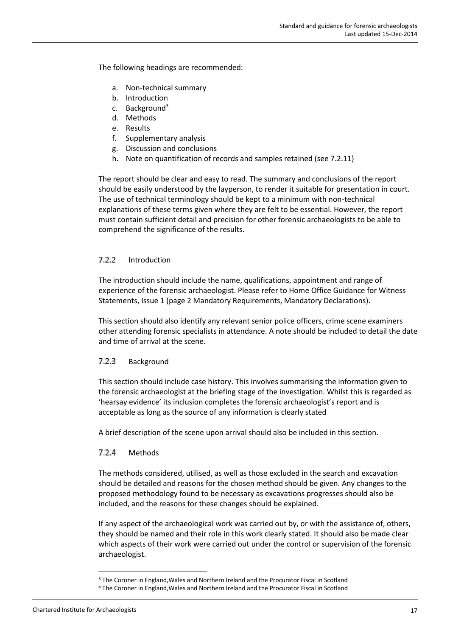The following headings are recommended:

- a. Non-technical summary
- b. Introduction
- c. Background<sup>3</sup>
- d. Methods
- e. Results
- f. Supplementary analysis
- g. Discussion and conclusions
- h. Note on quantification of records and samples retained (see 7.2.11)

The report should be clear and easy to read. The summary and conclusions of the report should be easily understood by the layperson, to render it suitable for presentation in court. The use of technical terminology should be kept to a minimum with non-technical explanations of these terms given where they are felt to be essential. However, the report must contain sufficient detail and precision for other forensic archaeologists to be able to comprehend the significance of the results.

#### $7.2.2$ Introduction

The introduction should include the name, qualifications, appointment and range of experience of the forensic archaeologist. Please refer to Home Office Guidance for Witness Statements, Issue 1 (page 2 Mandatory Requirements, Mandatory Declarations).

This section should also identify any relevant senior police officers, crime scene examiners other attending forensic specialists in attendance. A note should be included to detail the date and time of arrival at the scene.

#### $7.2.3$ Background

This section should include case history. This involves summarising the information given to the forensic archaeologist at the briefing stage of the investigation. Whilst this is regarded as 'hearsay evidence' its inclusion completes the forensic archaeologist's report and is acceptable as long as the source of any information is clearly stated

A brief description of the scene upon arrival should also be included in this section.

#### $7.2.4$ Methods

The methods considered, utilised, as well as those excluded in the search and excavation should be detailed and reasons for the chosen method should be given. Any changes to the proposed methodology found to be necessary as excavations progresses should also be included, and the reasons for these changes should be explained.

If any aspect of the archaeological work was carried out by, or with the assistance of, others, they should be named and their role in this work clearly stated. It should also be made clear which aspects of their work were carried out under the control or supervision of the forensic archaeologist.

<sup>3</sup> The Coroner in England,Wales and Northern Ireland and the Procurator Fiscal in Scotland

<sup>4</sup> The Coroner in England,Wales and Northern Ireland and the Procurator Fiscal in Scotland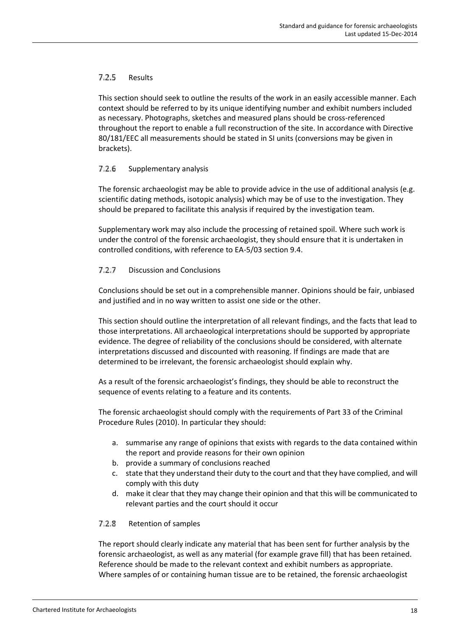#### $7.2.5$ Results

This section should seek to outline the results of the work in an easily accessible manner. Each context should be referred to by its unique identifying number and exhibit numbers included as necessary. Photographs, sketches and measured plans should be cross-referenced throughout the report to enable a full reconstruction of the site. In accordance with Directive 80/181/EEC all measurements should be stated in SI units (conversions may be given in brackets).

#### $7.2.6$ Supplementary analysis

The forensic archaeologist may be able to provide advice in the use of additional analysis (e.g. scientific dating methods, isotopic analysis) which may be of use to the investigation. They should be prepared to facilitate this analysis if required by the investigation team.

Supplementary work may also include the processing of retained spoil. Where such work is under the control of the forensic archaeologist, they should ensure that it is undertaken in controlled conditions, with reference to EA-5/03 section 9.4.

#### $7.2.7$ Discussion and Conclusions

Conclusions should be set out in a comprehensible manner. Opinions should be fair, unbiased and justified and in no way written to assist one side or the other.

This section should outline the interpretation of all relevant findings, and the facts that lead to those interpretations. All archaeological interpretations should be supported by appropriate evidence. The degree of reliability of the conclusions should be considered, with alternate interpretations discussed and discounted with reasoning. If findings are made that are determined to be irrelevant, the forensic archaeologist should explain why.

As a result of the forensic archaeologist's findings, they should be able to reconstruct the sequence of events relating to a feature and its contents.

The forensic archaeologist should comply with the requirements of Part 33 of the Criminal Procedure Rules (2010). In particular they should:

- a. summarise any range of opinions that exists with regards to the data contained within the report and provide reasons for their own opinion
- b. provide a summary of conclusions reached
- c. state that they understand their duty to the court and that they have complied, and will comply with this duty
- d. make it clear that they may change their opinion and that this will be communicated to relevant parties and the court should it occur

#### 7.2.8 Retention of samples

The report should clearly indicate any material that has been sent for further analysis by the forensic archaeologist, as well as any material (for example grave fill) that has been retained. Reference should be made to the relevant context and exhibit numbers as appropriate. Where samples of or containing human tissue are to be retained, the forensic archaeologist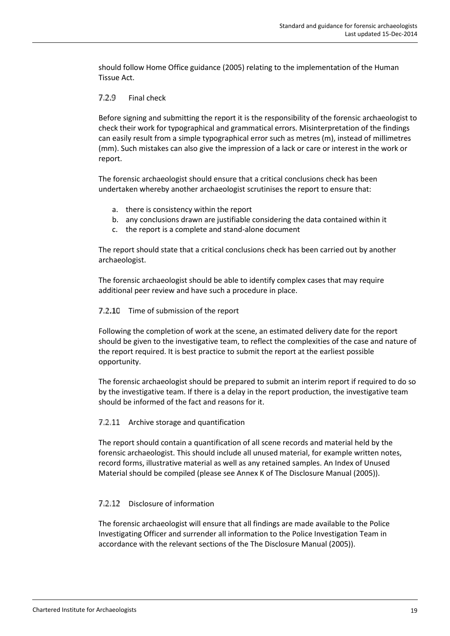should follow Home Office guidance (2005) relating to the implementation of the Human Tissue Act.

#### 7.2.9 Final check

Before signing and submitting the report it is the responsibility of the forensic archaeologist to check their work for typographical and grammatical errors. Misinterpretation of the findings can easily result from a simple typographical error such as metres (m), instead of millimetres (mm). Such mistakes can also give the impression of a lack or care or interest in the work or report.

The forensic archaeologist should ensure that a critical conclusions check has been undertaken whereby another archaeologist scrutinises the report to ensure that:

- a. there is consistency within the report
- b. any conclusions drawn are justifiable considering the data contained within it
- c. the report is a complete and stand-alone document

The report should state that a critical conclusions check has been carried out by another archaeologist.

The forensic archaeologist should be able to identify complex cases that may require additional peer review and have such a procedure in place.

### 7.2.10 Time of submission of the report

Following the completion of work at the scene, an estimated delivery date for the report should be given to the investigative team, to reflect the complexities of the case and nature of the report required. It is best practice to submit the report at the earliest possible opportunity.

The forensic archaeologist should be prepared to submit an interim report if required to do so by the investigative team. If there is a delay in the report production, the investigative team should be informed of the fact and reasons for it.

### 7.2.11 Archive storage and quantification

The report should contain a quantification of all scene records and material held by the forensic archaeologist. This should include all unused material, for example written notes, record forms, illustrative material as well as any retained samples. An Index of Unused Material should be compiled (please see Annex K of The Disclosure Manual (2005)).

### 7.2.12 Disclosure of information

The forensic archaeologist will ensure that all findings are made available to the Police Investigating Officer and surrender all information to the Police Investigation Team in accordance with the relevant sections of the The Disclosure Manual (2005)).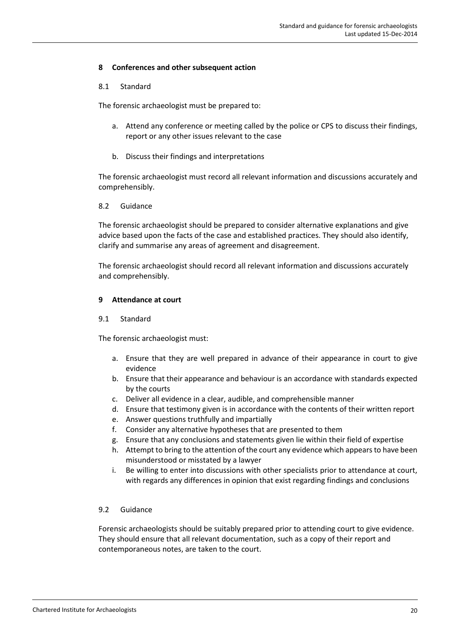### **8 Conferences and other subsequent action**

### 8.1 Standard

The forensic archaeologist must be prepared to:

- a. Attend any conference or meeting called by the police or CPS to discuss their findings, report or any other issues relevant to the case
- b. Discuss their findings and interpretations

The forensic archaeologist must record all relevant information and discussions accurately and comprehensibly.

8.2 Guidance

The forensic archaeologist should be prepared to consider alternative explanations and give advice based upon the facts of the case and established practices. They should also identify, clarify and summarise any areas of agreement and disagreement.

The forensic archaeologist should record all relevant information and discussions accurately and comprehensibly.

### **9 Attendance at court**

### 9.1 Standard

The forensic archaeologist must:

- a. Ensure that they are well prepared in advance of their appearance in court to give evidence
- b. Ensure that their appearance and behaviour is an accordance with standards expected by the courts
- c. Deliver all evidence in a clear, audible, and comprehensible manner
- d. Ensure that testimony given is in accordance with the contents of their written report
- e. Answer questions truthfully and impartially
- f. Consider any alternative hypotheses that are presented to them
- g. Ensure that any conclusions and statements given lie within their field of expertise
- h. Attempt to bring to the attention of the court any evidence which appears to have been misunderstood or misstated by a lawyer
- i. Be willing to enter into discussions with other specialists prior to attendance at court, with regards any differences in opinion that exist regarding findings and conclusions

### 9.2 Guidance

Forensic archaeologists should be suitably prepared prior to attending court to give evidence. They should ensure that all relevant documentation, such as a copy of their report and contemporaneous notes, are taken to the court.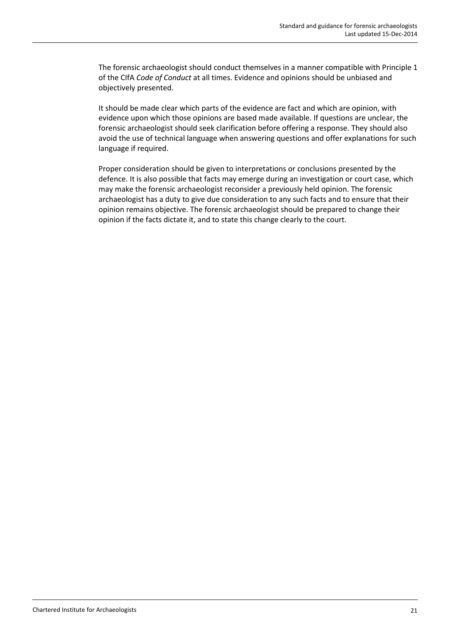The forensic archaeologist should conduct themselves in a manner compatible with Principle 1 of the CIfA *Code of Conduct* at all times. Evidence and opinions should be unbiased and objectively presented.

It should be made clear which parts of the evidence are fact and which are opinion, with evidence upon which those opinions are based made available. If questions are unclear, the forensic archaeologist should seek clarification before offering a response. They should also avoid the use of technical language when answering questions and offer explanations for such language if required.

Proper consideration should be given to interpretations or conclusions presented by the defence. It is also possible that facts may emerge during an investigation or court case, which may make the forensic archaeologist reconsider a previously held opinion. The forensic archaeologist has a duty to give due consideration to any such facts and to ensure that their opinion remains objective. The forensic archaeologist should be prepared to change their opinion if the facts dictate it, and to state this change clearly to the court.